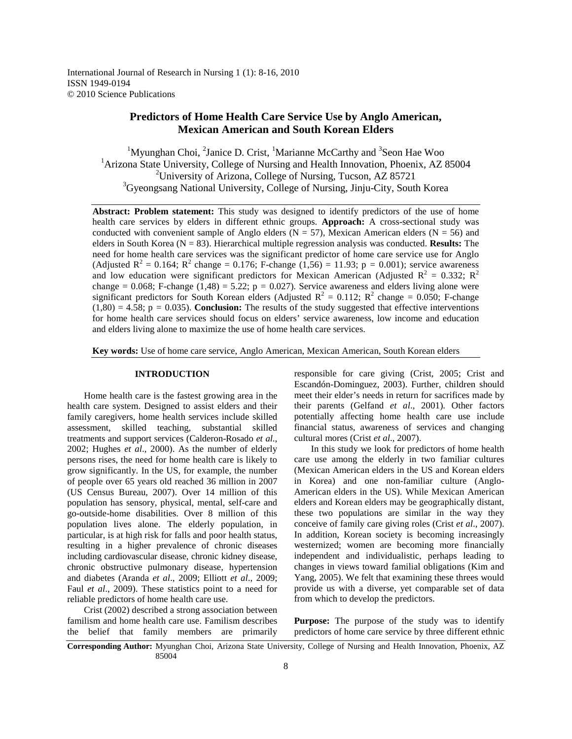International Journal of Research in Nursing 1 (1): 8-16, 2010 ISSN 1949-0194 © 2010 Science Publications

# **Predictors of Home Health Care Service Use by Anglo American, Mexican American and South Korean Elders**

<sup>1</sup>Myunghan Choi, <sup>2</sup>Janice D. Crist, <sup>1</sup>Marianne McCarthy and <sup>3</sup>Seon Hae Woo <sup>1</sup> Arizona State University, College of Nursing and Health Innovation, Phoenix, AZ 85004 <sup>2</sup>University of Arizona, College of Nursing, Tucson, AZ 85721 <sup>3</sup>Gyeongsang National University, College of Nursing, Jinju-City, South Korea

**Abstract: Problem statement:** This study was designed to identify predictors of the use of home health care services by elders in different ethnic groups. **Approach:** A cross-sectional study was conducted with convenient sample of Anglo elders ( $N = 57$ ), Mexican American elders ( $N = 56$ ) and elders in South Korea ( $N = 83$ ). Hierarchical multiple regression analysis was conducted. **Results:** The need for home health care services was the significant predictor of home care service use for Anglo (Adjusted  $R^2 = 0.164$ ;  $R^2$  change = 0.176; F-change (1,56) = 11.93; p = 0.001); service awareness and low education were significant predictors for Mexican American (Adjusted  $R^2 = 0.332$ ;  $R^2$ change =  $0.068$ ; F-change  $(1,48) = 5.22$ ; p =  $0.027$ ). Service awareness and elders living alone were significant predictors for South Korean elders (Adjusted  $R^2 = 0.112$ ;  $R^2$  change = 0.050; F-change  $(1,80) = 4.58$ ;  $p = 0.035$ ). **Conclusion:** The results of the study suggested that effective interventions for home health care services should focus on elders' service awareness, low income and education and elders living alone to maximize the use of home health care services.

**Key words:** Use of home care service, Anglo American, Mexican American, South Korean elders

## **INTRODUCTION**

 Home health care is the fastest growing area in the health care system. Designed to assist elders and their family caregivers, home health services include skilled assessment, skilled teaching, substantial skilled treatments and support services (Calderon-Rosado *et al*., 2002; Hughes *et al*., 2000). As the number of elderly persons rises, the need for home health care is likely to grow significantly. In the US, for example, the number of people over 65 years old reached 36 million in 2007 (US Census Bureau, 2007). Over 14 million of this population has sensory, physical, mental, self-care and go-outside-home disabilities. Over 8 million of this population lives alone. The elderly population, in particular, is at high risk for falls and poor health status, resulting in a higher prevalence of chronic diseases including cardiovascular disease, chronic kidney disease, chronic obstructive pulmonary disease, hypertension and diabetes (Aranda *et al*., 2009; Elliott *et al*., 2009; Faul *et al*., 2009). These statistics point to a need for reliable predictors of home health care use.

 Crist (2002) described a strong association between familism and home health care use. Familism describes the belief that family members are primarily

responsible for care giving (Crist, 2005; Crist and Escandón-Dominguez, 2003). Further, children should meet their elder's needs in return for sacrifices made by their parents (Gelfand *et al*., 2001). Other factors potentially affecting home health care use include financial status, awareness of services and changing cultural mores (Crist *et al*., 2007).

 In this study we look for predictors of home health care use among the elderly in two familiar cultures (Mexican American elders in the US and Korean elders in Korea) and one non-familiar culture (Anglo-American elders in the US). While Mexican American elders and Korean elders may be geographically distant, these two populations are similar in the way they conceive of family care giving roles (Crist *et al*., 2007). In addition, Korean society is becoming increasingly westernized; women are becoming more financially independent and individualistic, perhaps leading to changes in views toward familial obligations (Kim and Yang, 2005). We felt that examining these threes would provide us with a diverse, yet comparable set of data from which to develop the predictors.

Purpose: The purpose of the study was to identify predictors of home care service by three different ethnic

**Corresponding Author:** Myunghan Choi, Arizona State University, College of Nursing and Health Innovation, Phoenix, AZ 85004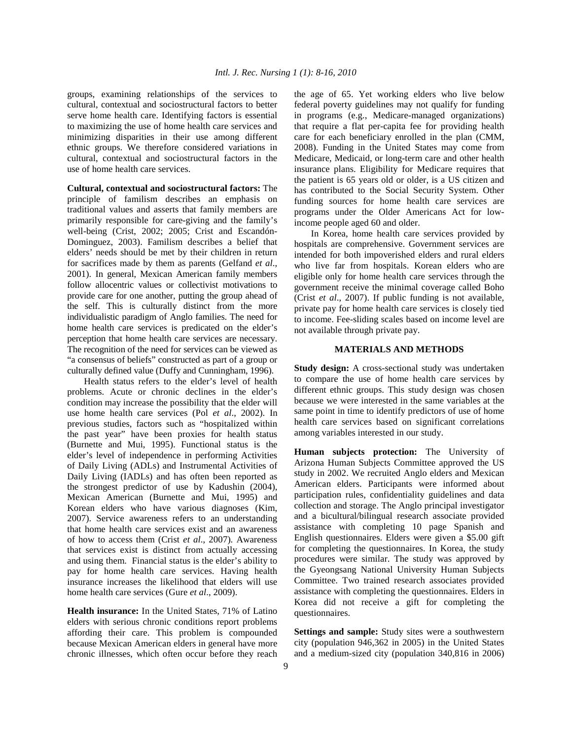groups, examining relationships of the services to cultural, contextual and sociostructural factors to better serve home health care. Identifying factors is essential to maximizing the use of home health care services and minimizing disparities in their use among different ethnic groups. We therefore considered variations in cultural, contextual and sociostructural factors in the use of home health care services.

**Cultural, contextual and sociostructural factors:** The principle of familism describes an emphasis on traditional values and asserts that family members are primarily responsible for care-giving and the family's well-being (Crist, 2002; 2005; Crist and Escandón-Dominguez, 2003). Familism describes a belief that elders' needs should be met by their children in return for sacrifices made by them as parents (Gelfand *et al*., 2001). In general, Mexican American family members follow allocentric values or collectivist motivations to provide care for one another, putting the group ahead of the self. This is culturally distinct from the more individualistic paradigm of Anglo families. The need for home health care services is predicated on the elder's perception that home health care services are necessary. The recognition of the need for services can be viewed as "a consensus of beliefs" constructed as part of a group or culturally defined value (Duffy and Cunningham, 1996).

Health status refers to the elder's level of health problems. Acute or chronic declines in the elder's condition may increase the possibility that the elder will use home health care services (Pol *et al*., 2002). In previous studies, factors such as "hospitalized within the past year" have been proxies for health status (Burnette and Mui, 1995). Functional status is the elder's level of independence in performing Activities of Daily Living (ADLs) and Instrumental Activities of Daily Living (IADLs) and has often been reported as the strongest predictor of use by Kadushin (2004), Mexican American (Burnette and Mui, 1995) and Korean elders who have various diagnoses (Kim, 2007). Service awareness refers to an understanding that home health care services exist and an awareness of how to access them (Crist *et al*., 2007). Awareness that services exist is distinct from actually accessing and using them. Financial status is the elder's ability to pay for home health care services. Having health insurance increases the likelihood that elders will use home health care services (Gure *et al*., 2009).

**Health insurance:** In the United States, 71% of Latino elders with serious chronic conditions report problems affording their care. This problem is compounded because Mexican American elders in general have more chronic illnesses, which often occur before they reach the age of 65. Yet working elders who live below federal poverty guidelines may not qualify for funding in programs (e.g., Medicare-managed organizations) that require a flat per-capita fee for providing health care for each beneficiary enrolled in the plan (CMM, 2008). Funding in the United States may come from Medicare, Medicaid, or long-term care and other health insurance plans. Eligibility for Medicare requires that the patient is 65 years old or older, is a US citizen and has contributed to the Social Security System. Other funding sources for home health care services are programs under the Older Americans Act for lowincome people aged 60 and older.

 In Korea, home health care services provided by hospitals are comprehensive. Government services are intended for both impoverished elders and rural elders who live far from hospitals. Korean elders who are eligible only for home health care services through the government receive the minimal coverage called Boho (Crist *et al*., 2007). If public funding is not available, private pay for home health care services is closely tied to income. Fee-sliding scales based on income level are not available through private pay.

#### **MATERIALS AND METHODS**

**Study design:** A cross-sectional study was undertaken to compare the use of home health care services by different ethnic groups. This study design was chosen because we were interested in the same variables at the same point in time to identify predictors of use of home health care services based on significant correlations among variables interested in our study.

**Human subjects protection:** The University of Arizona Human Subjects Committee approved the US study in 2002. We recruited Anglo elders and Mexican American elders. Participants were informed about participation rules, confidentiality guidelines and data collection and storage. The Anglo principal investigator and a bicultural/bilingual research associate provided assistance with completing 10 page Spanish and English questionnaires. Elders were given a \$5.00 gift for completing the questionnaires. In Korea, the study procedures were similar. The study was approved by the Gyeongsang National University Human Subjects Committee. Two trained research associates provided assistance with completing the questionnaires. Elders in Korea did not receive a gift for completing the questionnaires.

**Settings and sample:** Study sites were a southwestern city (population 946,362 in 2005) in the United States and a medium-sized city (population 340,816 in 2006)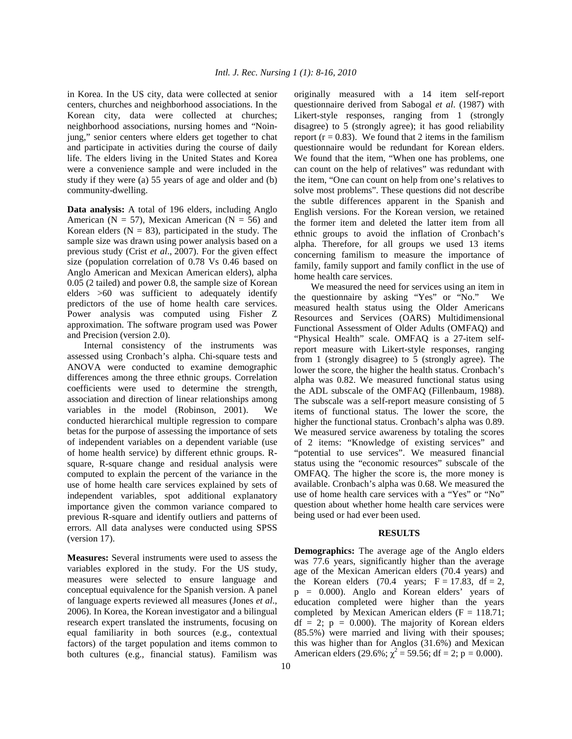in Korea. In the US city, data were collected at senior centers, churches and neighborhood associations. In the Korean city, data were collected at churches; neighborhood associations, nursing homes and "Noinjung," senior centers where elders get together to chat and participate in activities during the course of daily life. The elders living in the United States and Korea were a convenience sample and were included in the study if they were (a) 55 years of age and older and (b) community-dwelling.

**Data analysis:** A total of 196 elders, including Anglo American ( $N = 57$ ), Mexican American ( $N = 56$ ) and Korean elders ( $N = 83$ ), participated in the study. The sample size was drawn using power analysis based on a previous study (Crist *et al*., 2007). For the given effect size (population correlation of 0.78 Vs 0.46 based on Anglo American and Mexican American elders), alpha 0.05 (2 tailed) and power 0.8, the sample size of Korean elders >60 was sufficient to adequately identify predictors of the use of home health care services. Power analysis was computed using Fisher Z approximation. The software program used was Power and Precision (version 2.0).

 Internal consistency of the instruments was assessed using Cronbach's alpha. Chi-square tests and ANOVA were conducted to examine demographic differences among the three ethnic groups. Correlation coefficients were used to determine the strength, association and direction of linear relationships among variables in the model (Robinson, 2001). We conducted hierarchical multiple regression to compare betas for the purpose of assessing the importance of sets of independent variables on a dependent variable (use of home health service) by different ethnic groups. Rsquare, R-square change and residual analysis were computed to explain the percent of the variance in the use of home health care services explained by sets of independent variables, spot additional explanatory importance given the common variance compared to previous R-square and identify outliers and patterns of errors. All data analyses were conducted using SPSS (version 17).

**Measures:** Several instruments were used to assess the variables explored in the study. For the US study, measures were selected to ensure language and conceptual equivalence for the Spanish version. A panel of language experts reviewed all measures (Jones *et al*., 2006). In Korea, the Korean investigator and a bilingual research expert translated the instruments, focusing on equal familiarity in both sources (e.g., contextual factors) of the target population and items common to both cultures (e.g., financial status). Familism was

originally measured with a 14 item self-report questionnaire derived from Sabogal *et al*. (1987) with Likert-style responses, ranging from 1 (strongly disagree) to 5 (strongly agree); it has good reliability report ( $r = 0.83$ ). We found that 2 items in the familism questionnaire would be redundant for Korean elders. We found that the item, "When one has problems, one can count on the help of relatives" was redundant with the item, "One can count on help from one's relatives to solve most problems". These questions did not describe the subtle differences apparent in the Spanish and English versions. For the Korean version, we retained the former item and deleted the latter item from all ethnic groups to avoid the inflation of Cronbach's alpha. Therefore, for all groups we used 13 items concerning familism to measure the importance of family, family support and family conflict in the use of home health care services.

 We measured the need for services using an item in the questionnaire by asking "Yes" or "No." We measured health status using the Older Americans Resources and Services (OARS) Multidimensional Functional Assessment of Older Adults (OMFAQ) and "Physical Health" scale. OMFAQ is a 27-item selfreport measure with Likert-style responses, ranging from 1 (strongly disagree) to 5 (strongly agree). The lower the score, the higher the health status. Cronbach's alpha was 0.82. We measured functional status using the ADL subscale of the OMFAQ (Fillenbaum, 1988). The subscale was a self-report measure consisting of 5 items of functional status. The lower the score, the higher the functional status. Cronbach's alpha was 0.89. We measured service awareness by totaling the scores of 2 items: "Knowledge of existing services" and "potential to use services". We measured financial status using the "economic resources" subscale of the OMFAQ. The higher the score is, the more money is available. Cronbach's alpha was 0.68. We measured the use of home health care services with a "Yes" or "No" question about whether home health care services were being used or had ever been used.

### **RESULTS**

**Demographics:** The average age of the Anglo elders was 77.6 years, significantly higher than the average age of the Mexican American elders (70.4 years) and the Korean elders (70.4 years;  $F = 17.83$ ,  $df = 2$ , p *=* 0.000). Anglo and Korean elders' years of education completed were higher than the years completed by Mexican American elders  $(F = 118.71)$ ;  $df = 2$ ;  $p = 0.000$ ). The majority of Korean elders (85.5%) were married and living with their spouses; this was higher than for Anglos (31.6%) and Mexican American elders (29.6%;  $\chi^2 = 59.56$ ; df = 2; p = 0.000).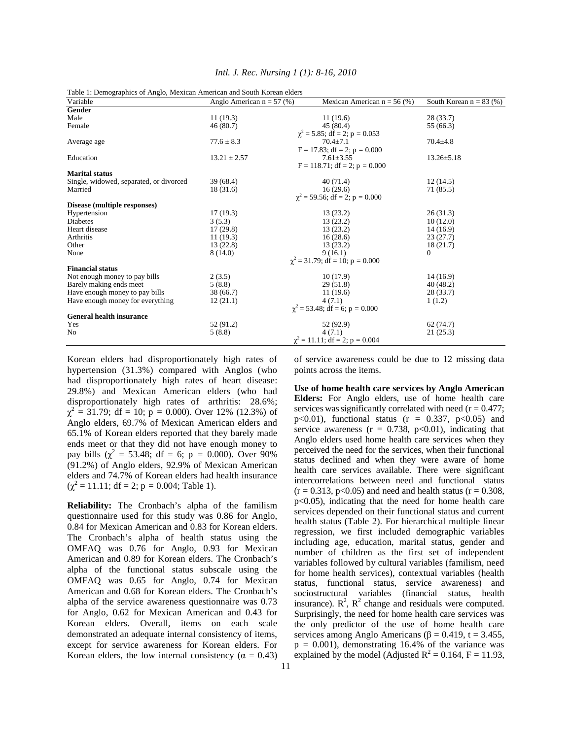| Table 1: Demographics of Anglo, Mexican American and South Korean elders |                             |                                      |                           |
|--------------------------------------------------------------------------|-----------------------------|--------------------------------------|---------------------------|
| Variable                                                                 | Anglo American $n = 57$ (%) | Mexican American $n = 56$ (%)        | South Korean $n = 83$ (%) |
| Gender                                                                   |                             |                                      |                           |
| Male                                                                     | 11(19.3)                    | 11(19.6)                             | 28 (33.7)                 |
| Female                                                                   | 46(80.7)                    | 45(80.4)                             | 55 (66.3)                 |
|                                                                          |                             | $\chi^2$ = 5.85; df = 2; p = 0.053   |                           |
| Average age                                                              | $77.6 \pm 8.3$              | $70.4 + 7.1$                         | $70.4 \pm 4.8$            |
|                                                                          |                             | $F = 17.83$ ; df = 2; p = 0.000      |                           |
| Education                                                                | $13.21 \pm 2.57$            | $7.61 \pm 3.55$                      | $13.26 \pm 5.18$          |
|                                                                          |                             | $F = 118.71$ ; df = 2; p = 0.000     |                           |
| <b>Marital status</b>                                                    |                             |                                      |                           |
| Single, widowed, separated, or divorced                                  | 39 (68.4)                   | 40(71.4)                             | 12(14.5)                  |
| Married                                                                  | 18 (31.6)                   | 16(29.6)                             | 71 (85.5)                 |
|                                                                          |                             | $\chi^2$ = 59.56; df = 2; p = 0.000  |                           |
| Disease (multiple responses)                                             |                             |                                      |                           |
| Hypertension                                                             | 17(19.3)                    | 13(23.2)                             | 26(31.3)                  |
| Diabetes                                                                 | 3(5.3)                      | 13(23.2)                             | 10(12.0)                  |
| Heart disease                                                            | 17(29.8)                    | 13(23.2)                             | 14(16.9)                  |
| Arthritis                                                                | 11(19.3)                    | 16(28.6)                             | 23(27.7)                  |
| Other                                                                    | 13 (22.8)                   | 13(23.2)                             | 18(21.7)                  |
| None                                                                     | 8(14.0)                     | 9(16.1)                              | $\Omega$                  |
|                                                                          |                             | $\chi^2$ = 31.79; df = 10; p = 0.000 |                           |
| <b>Financial status</b>                                                  |                             |                                      |                           |
| Not enough money to pay bills                                            | 2(3.5)                      | 10(17.9)                             | 14(16.9)                  |
| Barely making ends meet                                                  | 5(8.8)                      | 29(51.8)                             | 40(48.2)                  |
| Have enough money to pay bills                                           | 38 (66.7)                   | 11(19.6)                             | 28 (33.7)                 |
| Have enough money for everything                                         | 12(21.1)                    | 4(7.1)                               | 1(1.2)                    |
|                                                                          |                             | $\chi^2$ = 53.48; df = 6; p = 0.000  |                           |
| <b>General health insurance</b>                                          |                             |                                      |                           |
| Yes                                                                      | 52 (91.2)                   | 52 (92.9)                            | 62(74.7)                  |
| No                                                                       | 5(8.8)                      | 4(7.1)                               | 21(25.3)                  |
|                                                                          |                             | $\chi^2$ = 11.11; df = 2; p = 0.004  |                           |

| Korean elders had disproportionately high rates of         |
|------------------------------------------------------------|
| hypertension (31.3%) compared with Anglos (who             |
| had disproportionately high rates of heart disease:        |
| 29.8%) and Mexican American elders (who had                |
| disproportionately high rates of arthritis: 28.6%;         |
| $\chi^2$ = 31.79; df = 10; p = 0.000). Over 12% (12.3%) of |
| Anglo elders, 69.7% of Mexican American elders and         |
| 65.1% of Korean elders reported that they barely made      |
| ends meet or that they did not have enough money to        |
| pay bills ( $\chi^2$ = 53.48; df = 6; p = 0.000). Over 90% |
| (91.2%) of Anglo elders, 92.9% of Mexican American         |
| elders and 74.7% of Korean elders had health insurance     |
| $(\chi^2 = 11.11$ ; df = 2; p = 0.004; Table 1).           |

**Reliability:** The Cronbach's alpha of the familism questionnaire used for this study was 0.86 for Anglo, 0.84 for Mexican American and 0.83 for Korean elders. The Cronbach's alpha of health status using the OMFAQ was 0.76 for Anglo, 0.93 for Mexican American and 0.89 for Korean elders. The Cronbach's alpha of the functional status subscale using the OMFAQ was 0.65 for Anglo, 0.74 for Mexican American and 0.68 for Korean elders. The Cronbach's alpha of the service awareness questionnaire was 0.73 for Anglo, 0.62 for Mexican American and 0.43 for Korean elders. Overall, items on each scale demonstrated an adequate internal consistency of items, except for service awareness for Korean elders. For Korean elders, the low internal consistency ( $\alpha = 0.43$ )

of service awareness could be due to 12 missing data points across the items.

**Use of home health care services by Anglo American Elders:** For Anglo elders, use of home health care services was significantly correlated with need  $(r = 0.477)$ ; p $<0.01$ ), functional status (r = 0.337, p $<0.05$ ) and service awareness ( $r = 0.738$ ,  $p < 0.01$ ), indicating that Anglo elders used home health care services when they perceived the need for the services, when their functional status declined and when they were aware of home health care services available. There were significant intercorrelations between need and functional status  $(r = 0.313, p < 0.05)$  and need and health status  $(r = 0.308,$ p<0.05), indicating that the need for home health care services depended on their functional status and current health status (Table 2). For hierarchical multiple linear regression, we first included demographic variables including age, education, marital status, gender and number of children as the first set of independent variables followed by cultural variables (familism, need for home health services), contextual variables (health status, functional status, service awareness) and sociostructural variables (financial status, health insurance).  $R^2$ ,  $R^2$  change and residuals were computed. Surprisingly, the need for home health care services was the only predictor of the use of home health care services among Anglo Americans ( $\beta$  = 0.419, t = 3.455,  $p = 0.001$ ), demonstrating 16.4% of the variance was explained by the model (Adjusted  $R^2 = 0.164$ , F = 11.93,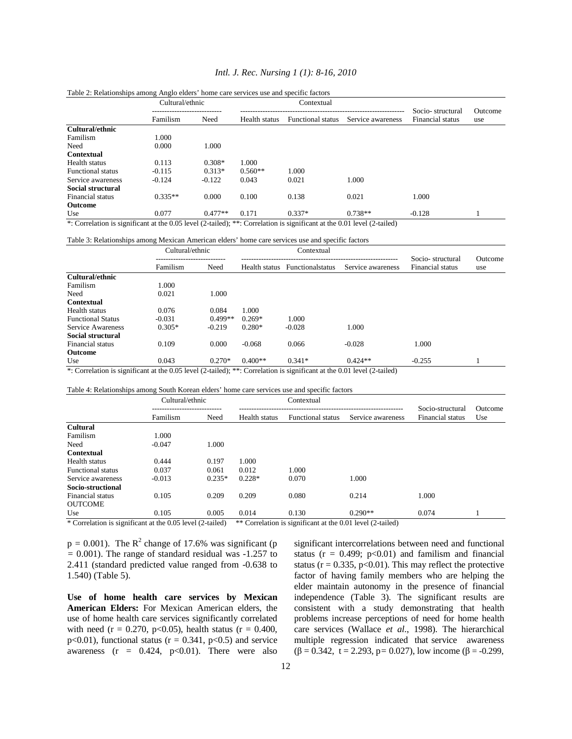## *Intl. J. Rec. Nursing 1 (1): 8-16, 2010*

|                          | Cultural/ethnic |           | Contextual    |                          |                   |                                      |                |
|--------------------------|-----------------|-----------|---------------|--------------------------|-------------------|--------------------------------------|----------------|
|                          | Familism        | Need      | Health status | <b>Functional</b> status | Service awareness | Socio-structural<br>Financial status | Outcome<br>use |
| Cultural/ethnic          |                 |           |               |                          |                   |                                      |                |
| Familism                 | 1.000           |           |               |                          |                   |                                      |                |
| Need                     | 0.000           | 1.000     |               |                          |                   |                                      |                |
| Contextual               |                 |           |               |                          |                   |                                      |                |
| Health status            | 0.113           | $0.308*$  | 1.000         |                          |                   |                                      |                |
| <b>Functional status</b> | $-0.115$        | $0.313*$  | $0.560**$     | 1.000                    |                   |                                      |                |
| Service awareness        | $-0.124$        | $-0.122$  | 0.043         | 0.021                    | 1.000             |                                      |                |
| <b>Social structural</b> |                 |           |               |                          |                   |                                      |                |
| Financial status         | $0.335**$       | 0.000     | 0.100         | 0.138                    | 0.021             | 1.000                                |                |
| <b>Outcome</b>           |                 |           |               |                          |                   |                                      |                |
| Use                      | 0.077           | $0.477**$ | 0.171         | $0.337*$                 | $0.738**$         | $-0.128$                             |                |

#### Table 2: Relationships among Anglo elders' home care services use and specific factors

\*: Correlation is significant at the 0.05 level (2-tailed); \*\*: Correlation is significant at the 0.01 level (2-tailed)

#### Table 3: Relationships among Mexican American elders' home care services use and specific factors

|                                             | Cultural/ethnic       |               | Contextual              |                   |                                      |                |
|---------------------------------------------|-----------------------|---------------|-------------------------|-------------------|--------------------------------------|----------------|
|                                             | Familism<br>Need      | Health status | <b>Functionalstatus</b> | Service awareness | Socio-structural<br>Financial status | Outcome<br>use |
| Cultural/ethnic                             |                       |               |                         |                   |                                      |                |
| Familism                                    | 1.000                 |               |                         |                   |                                      |                |
| Need                                        | 1.000<br>0.021        |               |                         |                   |                                      |                |
| <b>Contextual</b>                           |                       |               |                         |                   |                                      |                |
| Health status                               | 0.076<br>0.084        | 1.000         |                         |                   |                                      |                |
| <b>Functional Status</b>                    | $0.499**$<br>$-0.031$ | $0.269*$      | 1.000                   |                   |                                      |                |
| Service Awareness                           | $0.305*$<br>$-0.219$  | $0.280*$      | $-0.028$                | 1.000             |                                      |                |
| Social structural                           |                       |               |                         |                   |                                      |                |
| Financial status                            | 0.000<br>0.109        | $-0.068$      | 0.066                   | $-0.028$          | 1.000                                |                |
| <b>Outcome</b>                              |                       |               |                         |                   |                                      |                |
| Use                                         | $0.270*$<br>0.043     | $0.400**$     | $0.341*$                | $0.424**$         | $-0.255$                             |                |
| $\sim$ $\sim$<br>$\cdots$<br>$\cdot$ $\sim$ |                       |               |                         |                   |                                      |                |

\*: Correlation is significant at the 0.05 level (2-tailed); \*\*: Correlation is significant at the 0.01 level (2-tailed)

| Table 4: Relationships among South Korean elders' home care services use and specific factors |  |
|-----------------------------------------------------------------------------------------------|--|

| Cultural/ethnic |          | Contextual    |                          |                   |                                      |                                                                                                                                                                                                                                                |
|-----------------|----------|---------------|--------------------------|-------------------|--------------------------------------|------------------------------------------------------------------------------------------------------------------------------------------------------------------------------------------------------------------------------------------------|
| Familism        | Need     | Health status | <b>Functional status</b> | Service awareness | Socio-structural<br>Financial status | Outcome<br>Use                                                                                                                                                                                                                                 |
|                 |          |               |                          |                   |                                      |                                                                                                                                                                                                                                                |
| 1.000           |          |               |                          |                   |                                      |                                                                                                                                                                                                                                                |
| $-0.047$        | 1.000    |               |                          |                   |                                      |                                                                                                                                                                                                                                                |
|                 |          |               |                          |                   |                                      |                                                                                                                                                                                                                                                |
| 0.444           | 0.197    | 1.000         |                          |                   |                                      |                                                                                                                                                                                                                                                |
| 0.037           | 0.061    | 0.012         | 1.000                    |                   |                                      |                                                                                                                                                                                                                                                |
| $-0.013$        | $0.235*$ | $0.228*$      | 0.070                    | 1.000             |                                      |                                                                                                                                                                                                                                                |
|                 |          |               |                          |                   |                                      |                                                                                                                                                                                                                                                |
| 0.105           | 0.209    | 0.209         | 0.080                    | 0.214             | 1.000                                |                                                                                                                                                                                                                                                |
|                 |          |               |                          |                   |                                      |                                                                                                                                                                                                                                                |
| 0.105           | 0.005    | 0.014         | 0.130                    | $0.290**$         | 0.074                                |                                                                                                                                                                                                                                                |
|                 |          |               |                          |                   |                                      | $\star$ and $\star$ in the set of $\star$ and $\star$ and $\star$ and $\star$<br>$\frac{1}{2}$ and $\frac{1}{2}$ and $\frac{1}{2}$ and $\frac{1}{2}$ and $\frac{1}{2}$ and $\frac{1}{2}$ and $\frac{1}{2}$ and $\frac{1}{2}$ and $\frac{1}{2}$ |

\* Correlation is significant at the 0.05 level (2-tailed) \*\* Correlation is significant at the 0.01 level (2-tailed)

 $p = 0.001$ ). The  $R^2$  change of 17.6% was significant (p *=* 0.001). The range of standard residual was -1.257 to 2.411 (standard predicted value ranged from -0.638 to 1.540) (Table 5).

**Use of home health care services by Mexican American Elders:** For Mexican American elders, the use of home health care services significantly correlated with need (r = 0.270, p<0.05), health status (r = 0.400, p<0.01), functional status ( $r = 0.341$ , p<0.5) and service awareness ( $r = 0.424$ ,  $p<0.01$ ). There were also

significant intercorrelations between need and functional status ( $r = 0.499$ ;  $p < 0.01$ ) and familism and financial status ( $r = 0.335$ ,  $p < 0.01$ ). This may reflect the protective factor of having family members who are helping the elder maintain autonomy in the presence of financial independence (Table 3). The significant results are consistent with a study demonstrating that health problems increase perceptions of need for home health care services (Wallace *et al*., 1998). The hierarchical multiple regression indicated that service awareness (β = 0.342, t = 2.293, p*=* 0.027), low income (β = -0.299,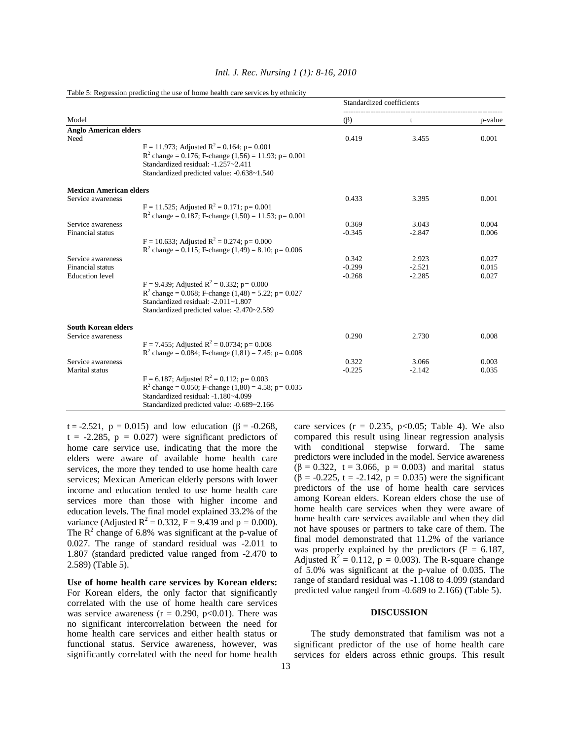|                                      |                                                                                                                                                                                                  | Standardized coefficients |                   |         |
|--------------------------------------|--------------------------------------------------------------------------------------------------------------------------------------------------------------------------------------------------|---------------------------|-------------------|---------|
| Model                                |                                                                                                                                                                                                  | $(\beta)$                 | t                 | p-value |
| <b>Anglo American elders</b><br>Need |                                                                                                                                                                                                  | 0.419                     | 3.455             | 0.001   |
|                                      | $F = 11.973$ ; Adjusted $R^2 = 0.164$ ; p= 0.001<br>$R^2$ change = 0.176; F-change (1,56) = 11.93; p= 0.001<br>Standardized residual: -1.257~2.411<br>Standardized predicted value: -0.638~1.540 |                           |                   |         |
| <b>Mexican American elders</b>       |                                                                                                                                                                                                  |                           |                   |         |
| Service awareness                    |                                                                                                                                                                                                  | 0.433                     | 3.395             | 0.001   |
|                                      | $F = 11.525$ ; Adjusted $R^2 = 0.171$ ; p= 0.001                                                                                                                                                 |                           |                   |         |
| Service awareness                    | $R^2$ change = 0.187; F-change (1.50) = 11.53; p= 0.001                                                                                                                                          | 0.369                     | 3.043             | 0.004   |
| <b>Financial</b> status              |                                                                                                                                                                                                  | $-0.345$                  | $-2.847$          | 0.006   |
|                                      | $F = 10.633$ ; Adjusted R <sup>2</sup> = 0.274; p= 0.000<br>$R^2$ change = 0.115; F-change (1.49) = 8.10; p= 0.006                                                                               |                           |                   |         |
| Service awareness                    |                                                                                                                                                                                                  | 0.342                     | 2.923             | 0.027   |
| <b>Financial</b> status              |                                                                                                                                                                                                  | $-0.299$                  | $-2.521$          | 0.015   |
| <b>Education</b> level               |                                                                                                                                                                                                  | $-0.268$                  | $-2.285$          | 0.027   |
|                                      | F = 9.439; Adjusted R <sup>2</sup> = 0.332; p= 0.000                                                                                                                                             |                           |                   |         |
|                                      | $R^2$ change = 0.068; F-change (1.48) = 5.22; p= 0.027                                                                                                                                           |                           |                   |         |
|                                      | Standardized residual: -2.011~1.807<br>Standardized predicted value: -2.470~2.589                                                                                                                |                           |                   |         |
| <b>South Korean elders</b>           |                                                                                                                                                                                                  |                           |                   |         |
| Service awareness                    |                                                                                                                                                                                                  | 0.290                     | 2.730             | 0.008   |
|                                      | $F = 7.455$ ; Adjusted R <sup>2</sup> = 0.0734; p= 0.008                                                                                                                                         |                           |                   |         |
|                                      | $R^2$ change = 0.084; F-change (1.81) = 7.45; p= 0.008                                                                                                                                           |                           |                   |         |
| Service awareness                    |                                                                                                                                                                                                  | 0.322                     | 3.066<br>$-2.142$ | 0.003   |
| Marital status                       | $F = 6.187$ ; Adjusted $R^2 = 0.112$ ; p= 0.003                                                                                                                                                  | $-0.225$                  |                   | 0.035   |
|                                      | $R^2$ change = 0.050; F-change (1.80) = 4.58; p= 0.035                                                                                                                                           |                           |                   |         |
|                                      | Standardized residual: -1.180~4.099                                                                                                                                                              |                           |                   |         |
|                                      | Standardized predicted value: -0.689~2.166                                                                                                                                                       |                           |                   |         |

#### *Intl. J. Rec. Nursing 1 (1): 8-16, 2010*

# Table 5: Regression predicting the use of home health care services by ethnicity

t = -2.521,  $p = 0.015$ ) and low education ( $\beta = -0.268$ ,  $t = -2.285$ ,  $p = 0.027$ ) were significant predictors of home care service use, indicating that the more the elders were aware of available home health care services, the more they tended to use home health care services; Mexican American elderly persons with lower income and education tended to use home health care services more than those with higher income and education levels. The final model explained 33.2% of the variance (Adjusted  $R^2 = 0.332$ ,  $F = 9.439$  and  $p = 0.000$ ). The  $R^2$  change of 6.8% was significant at the p-value of 0.027. The range of standard residual was -2.011 to 1.807 (standard predicted value ranged from -2.470 to 2.589) (Table 5).

**Use of home health care services by Korean elders:**  For Korean elders, the only factor that significantly correlated with the use of home health care services was service awareness ( $r = 0.290$ ,  $p < 0.01$ ). There was no significant intercorrelation between the need for home health care services and either health status or functional status. Service awareness, however, was significantly correlated with the need for home health care services ( $r = 0.235$ ,  $p < 0.05$ ; Table 4). We also compared this result using linear regression analysis with conditional stepwise forward. The same predictors were included in the model. Service awareness (β = 0.322, t = 3.066, p *=* 0.003) and marital status (β = -0.225, t = -2.142, p *=* 0.035) were the significant predictors of the use of home health care services among Korean elders. Korean elders chose the use of home health care services when they were aware of home health care services available and when they did not have spouses or partners to take care of them. The final model demonstrated that 11.2% of the variance was properly explained by the predictors  $(F = 6.187,$ Adjusted  $R^2 = 0.112$ ,  $p = 0.003$ ). The R-square change of 5.0% was significant at the p-value of 0.035. The range of standard residual was -1.108 to 4.099 (standard predicted value ranged from -0.689 to 2.166) (Table 5).

#### **DISCUSSION**

 The study demonstrated that familism was not a significant predictor of the use of home health care services for elders across ethnic groups. This result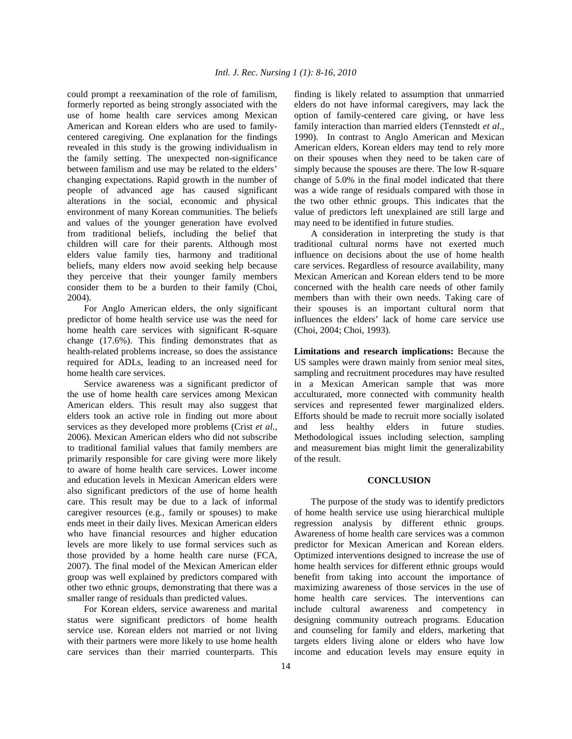could prompt a reexamination of the role of familism, formerly reported as being strongly associated with the use of home health care services among Mexican American and Korean elders who are used to familycentered caregiving. One explanation for the findings revealed in this study is the growing individualism in the family setting. The unexpected non-significance between familism and use may be related to the elders' changing expectations. Rapid growth in the number of people of advanced age has caused significant alterations in the social, economic and physical environment of many Korean communities. The beliefs and values of the younger generation have evolved from traditional beliefs, including the belief that children will care for their parents. Although most elders value family ties, harmony and traditional beliefs, many elders now avoid seeking help because they perceive that their younger family members consider them to be a burden to their family (Choi, 2004).

 For Anglo American elders, the only significant predictor of home health service use was the need for home health care services with significant R-square change (17.6%). This finding demonstrates that as health-related problems increase, so does the assistance required for ADLs, leading to an increased need for home health care services.

 Service awareness was a significant predictor of the use of home health care services among Mexican American elders. This result may also suggest that elders took an active role in finding out more about services as they developed more problems (Crist *et al*., 2006). Mexican American elders who did not subscribe to traditional familial values that family members are primarily responsible for care giving were more likely to aware of home health care services. Lower income and education levels in Mexican American elders were also significant predictors of the use of home health care. This result may be due to a lack of informal caregiver resources (e.g., family or spouses) to make ends meet in their daily lives. Mexican American elders who have financial resources and higher education levels are more likely to use formal services such as those provided by a home health care nurse (FCA, 2007). The final model of the Mexican American elder group was well explained by predictors compared with other two ethnic groups, demonstrating that there was a smaller range of residuals than predicted values.

 For Korean elders, service awareness and marital status were significant predictors of home health service use. Korean elders not married or not living with their partners were more likely to use home health care services than their married counterparts. This finding is likely related to assumption that unmarried elders do not have informal caregivers, may lack the option of family-centered care giving, or have less family interaction than married elders (Tennstedt *et al*., 1990). In contrast to Anglo American and Mexican American elders, Korean elders may tend to rely more on their spouses when they need to be taken care of simply because the spouses are there. The low R-square change of 5.0% in the final model indicated that there was a wide range of residuals compared with those in the two other ethnic groups. This indicates that the value of predictors left unexplained are still large and may need to be identified in future studies.

 A consideration in interpreting the study is that traditional cultural norms have not exerted much influence on decisions about the use of home health care services. Regardless of resource availability, many Mexican American and Korean elders tend to be more concerned with the health care needs of other family members than with their own needs. Taking care of their spouses is an important cultural norm that influences the elders' lack of home care service use (Choi, 2004; Choi, 1993).

**Limitations and research implications:** Because the US samples were drawn mainly from senior meal sites, sampling and recruitment procedures may have resulted in a Mexican American sample that was more acculturated, more connected with community health services and represented fewer marginalized elders. Efforts should be made to recruit more socially isolated and less healthy elders in future studies. Methodological issues including selection, sampling and measurement bias might limit the generalizability of the result.

### **CONCLUSION**

 The purpose of the study was to identify predictors of home health service use using hierarchical multiple regression analysis by different ethnic groups. Awareness of home health care services was a common predictor for Mexican American and Korean elders. Optimized interventions designed to increase the use of home health services for different ethnic groups would benefit from taking into account the importance of maximizing awareness of those services in the use of home health care services. The interventions can include cultural awareness and competency in designing community outreach programs. Education and counseling for family and elders, marketing that targets elders living alone or elders who have low income and education levels may ensure equity in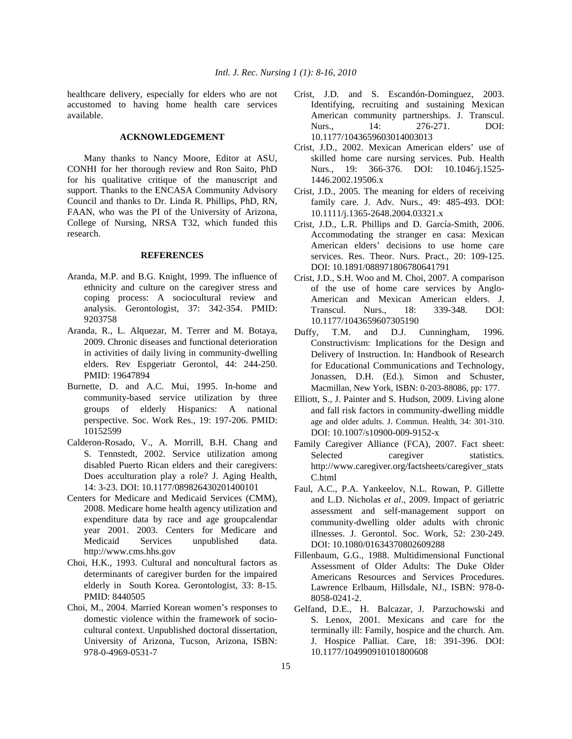healthcare delivery, especially for elders who are not accustomed to having home health care services available.

## **ACKNOWLEDGEMENT**

 Many thanks to Nancy Moore, Editor at ASU, CONHI for her thorough review and Ron Saito, PhD for his qualitative critique of the manuscript and support. Thanks to the ENCASA Community Advisory Council and thanks to Dr. Linda R. Phillips, PhD, RN, FAAN, who was the PI of the University of Arizona, College of Nursing, NRSA T32, which funded this research.

### **REFERENCES**

- Aranda, M.P. and B.G. Knight, 1999. The influence of ethnicity and culture on the caregiver stress and coping process: A sociocultural review and analysis. Gerontologist, 37: 342-354. PMID: 9203758
- Aranda, R., L. Alquezar, M. Terrer and M. Botaya, 2009. Chronic diseases and functional deterioration in activities of daily living in community-dwelling elders. Rev Espgeriatr Gerontol, 44: 244-250. PMID: 19647894
- Burnette, D. and A.C. Mui, 1995. In-home and community-based service utilization by three groups of elderly Hispanics: A national perspective. Soc. Work Res., 19: 197-206. PMID: 10152599
- Calderon-Rosado, V., A. Morrill, B.H. Chang and S. Tennstedt, 2002. Service utilization among disabled Puerto Rican elders and their caregivers: Does acculturation play a role? J. Aging Health, 14: 3-23. DOI: 10.1177/089826430201400101
- Centers for Medicare and Medicaid Services (CMM), 2008. Medicare home health agency utilization and expenditure data by race and age groupcalendar year 2001. 2003. Centers for Medicare and Medicaid Services unpublished data. http://www.cms.hhs.gov
- Choi, H.K., 1993. Cultural and noncultural factors as determinants of caregiver burden for the impaired elderly in South Korea. Gerontologist, 33: 8-15. PMID: 8440505
- Choi, M., 2004. Married Korean women's responses to domestic violence within the framework of sociocultural context. Unpublished doctoral dissertation, University of Arizona, Tucson, Arizona, ISBN: 978-0-4969-0531-7
- Crist, J.D. and S. Escandón-Dominguez, 2003. Identifying, recruiting and sustaining Mexican American community partnerships. J. Transcul. Nurs., 14: 276-271. DOI: 10.1177/1043659603014003013
- Crist, J.D., 2002. Mexican American elders' use of skilled home care nursing services. Pub. Health Nurs., 19: 366-376. DOI: 10.1046/j.1525- 1446.2002.19506.x
- Crist, J.D., 2005. The meaning for elders of receiving family care. J. Adv. Nurs., 49: 485-493. DOI: 10.1111/j.1365-2648.2004.03321.x
- Crist, J.D., L.R. Phillips and D. García-Smith, 2006. Accommodating the stranger en casa: Mexican American elders' decisions to use home care services. Res. Theor. Nurs. Pract., 20: 109-125. DOI: 10.1891/088971806780641791
- Crist, J.D., S.H. Woo and M. Choi, 2007. A comparison of the use of home care services by Anglo-American and Mexican American elders. J. Transcul. Nurs., 18: 339-348. DOI: 10.1177/1043659607305190
- Duffy, T.M. and D.J. Cunningham, 1996. Constructivism: Implications for the Design and Delivery of Instruction. In: Handbook of Research for Educational Communications and Technology, Jonassen, D.H. (Ed.). Simon and Schuster, Macmillan, New York, ISBN: 0-203-88086, pp: 177.
- Elliott, S., J. Painter and S. Hudson, 2009. Living alone and fall risk factors in community-dwelling middle age and older adults. J. Commun. Health, 34: 301-310. DOI: 10.1007/s10900-009-9152-x
- Family Caregiver Alliance (FCA), 2007. Fact sheet: Selected caregiver statistics. http://www.caregiver.org/factsheets/caregiver\_stats C.html
- Faul, A.C., P.A. Yankeelov, N.L. Rowan, P. Gillette and L.D. Nicholas *et al*., 2009. Impact of geriatric assessment and self-management support on community-dwelling older adults with chronic illnesses. J. Gerontol. Soc. Work, 52: 230-249. DOI: 10.1080/01634370802609288
- Fillenbaum, G.G., 1988. Multidimensional Functional Assessment of Older Adults: The Duke Older Americans Resources and Services Procedures. Lawrence Erlbaum, Hillsdale, NJ., ISBN: 978-0- 8058-0241-2.
- Gelfand, D.E., H. Balcazar, J. Parzuchowski and S. Lenox, 2001. Mexicans and care for the terminally ill: Family, hospice and the church. Am. J. Hospice Palliat. Care, 18: 391-396. DOI: 10.1177/104990910101800608